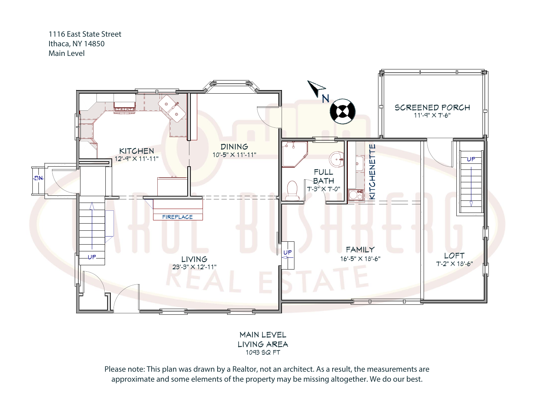1116 East State Street Ithaca, NY 14850 Main Level



LIVING AREA 1093 SQ FT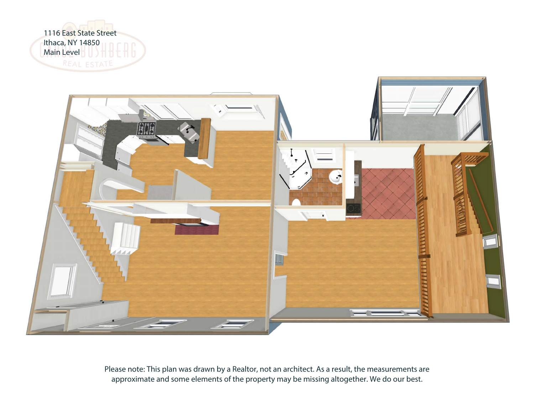

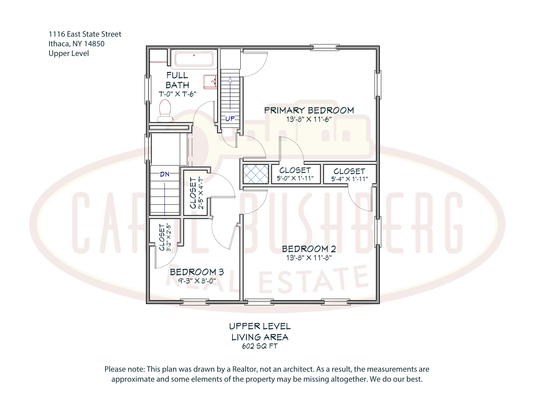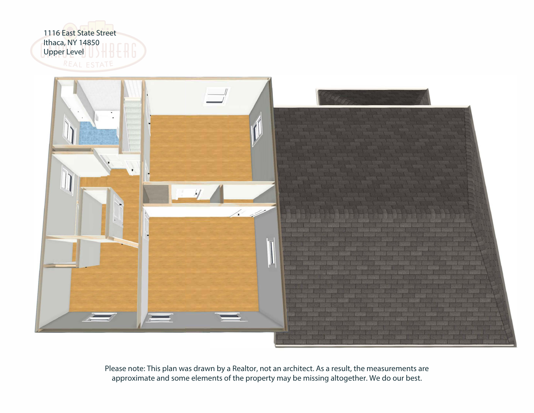

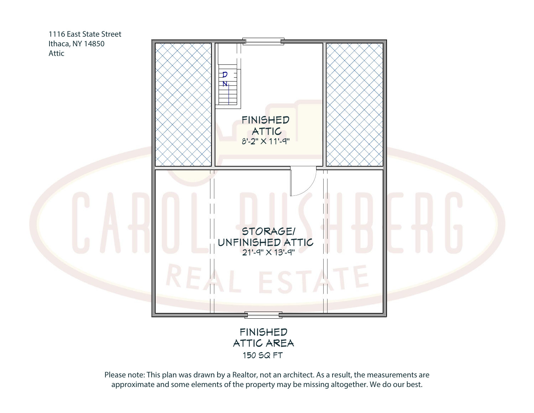